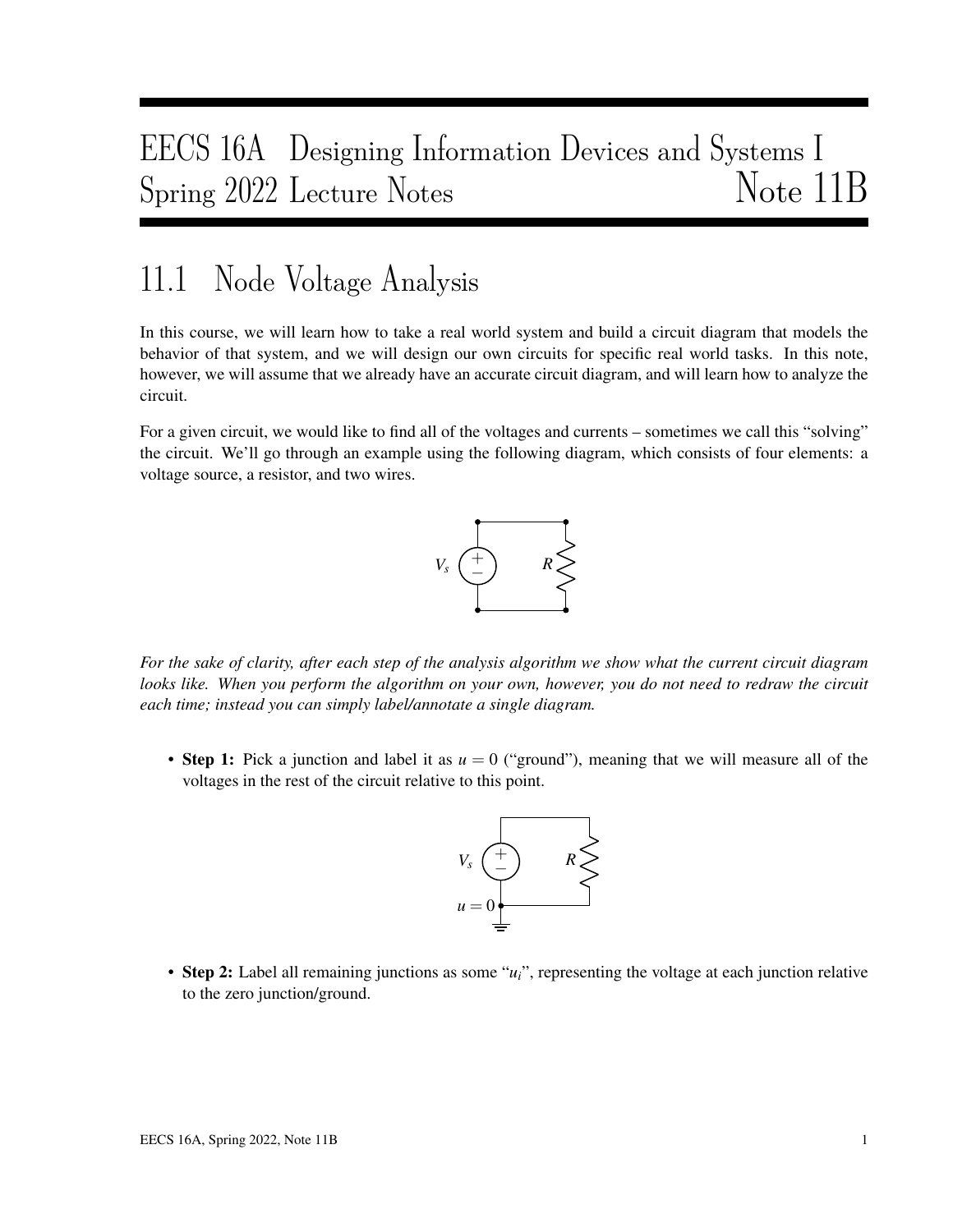# EECS 16A Designing Information Devices and Systems I Spring 2022 Lecture Notes Note 11B

## 11.1 Node Voltage Analysis

In this course, we will learn how to take a real world system and build a circuit diagram that models the behavior of that system, and we will design our own circuits for specific real world tasks. In this note, however, we will assume that we already have an accurate circuit diagram, and will learn how to analyze the circuit.

For a given circuit, we would like to find all of the voltages and currents – sometimes we call this "solving" the circuit. We'll go through an example using the following diagram, which consists of four elements: a voltage source, a resistor, and two wires.



*For the sake of clarity, after each step of the analysis algorithm we show what the current circuit diagram looks like. When you perform the algorithm on your own, however, you do not need to redraw the circuit each time; instead you can simply label/annotate a single diagram.*

• Step 1: Pick a junction and label it as *u* = 0 ("ground"), meaning that we will measure all of the voltages in the rest of the circuit relative to this point.



• Step 2: Label all remaining junctions as some "*ui*", representing the voltage at each junction relative to the zero junction/ground.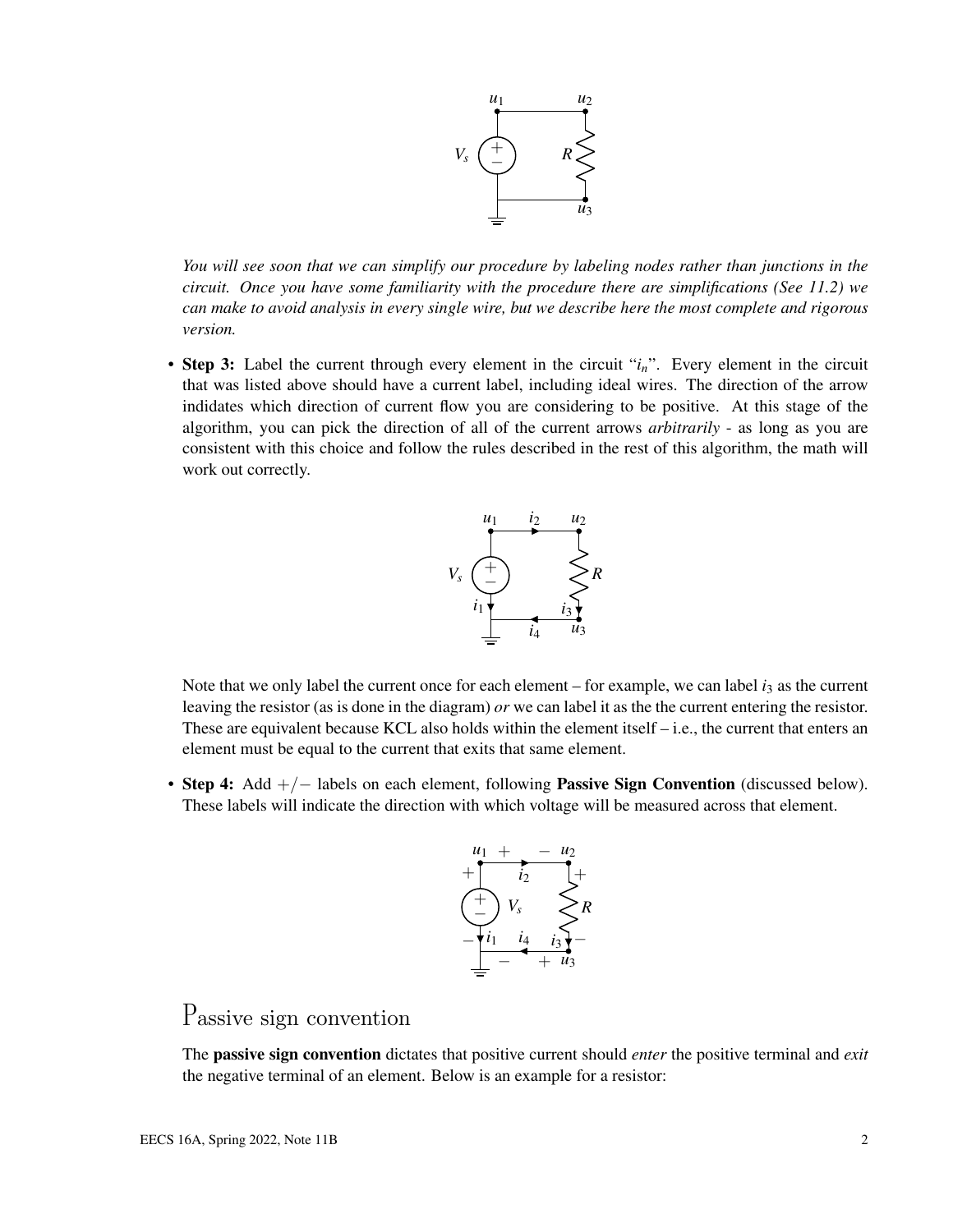

*You will see soon that we can simplify our procedure by labeling nodes rather than junctions in the circuit. Once you have some familiarity with the procedure there are simplifications (See 11.2) we can make to avoid analysis in every single wire, but we describe here the most complete and rigorous version.*

• Step 3: Label the current through every element in the circuit "*in*". Every element in the circuit that was listed above should have a current label, including ideal wires. The direction of the arrow indidates which direction of current flow you are considering to be positive. At this stage of the algorithm, you can pick the direction of all of the current arrows *arbitrarily* - as long as you are consistent with this choice and follow the rules described in the rest of this algorithm, the math will work out correctly.



Note that we only label the current once for each element – for example, we can label  $i_3$  as the current leaving the resistor (as is done in the diagram) *or* we can label it as the the current entering the resistor. These are equivalent because KCL also holds within the element itself  $-$  i.e., the current that enters an element must be equal to the current that exits that same element.

• Step 4: Add +/− labels on each element, following **Passive Sign Convention** (discussed below). These labels will indicate the direction with which voltage will be measured across that element.



#### Passive sign convention

The passive sign convention dictates that positive current should *enter* the positive terminal and *exit* the negative terminal of an element. Below is an example for a resistor: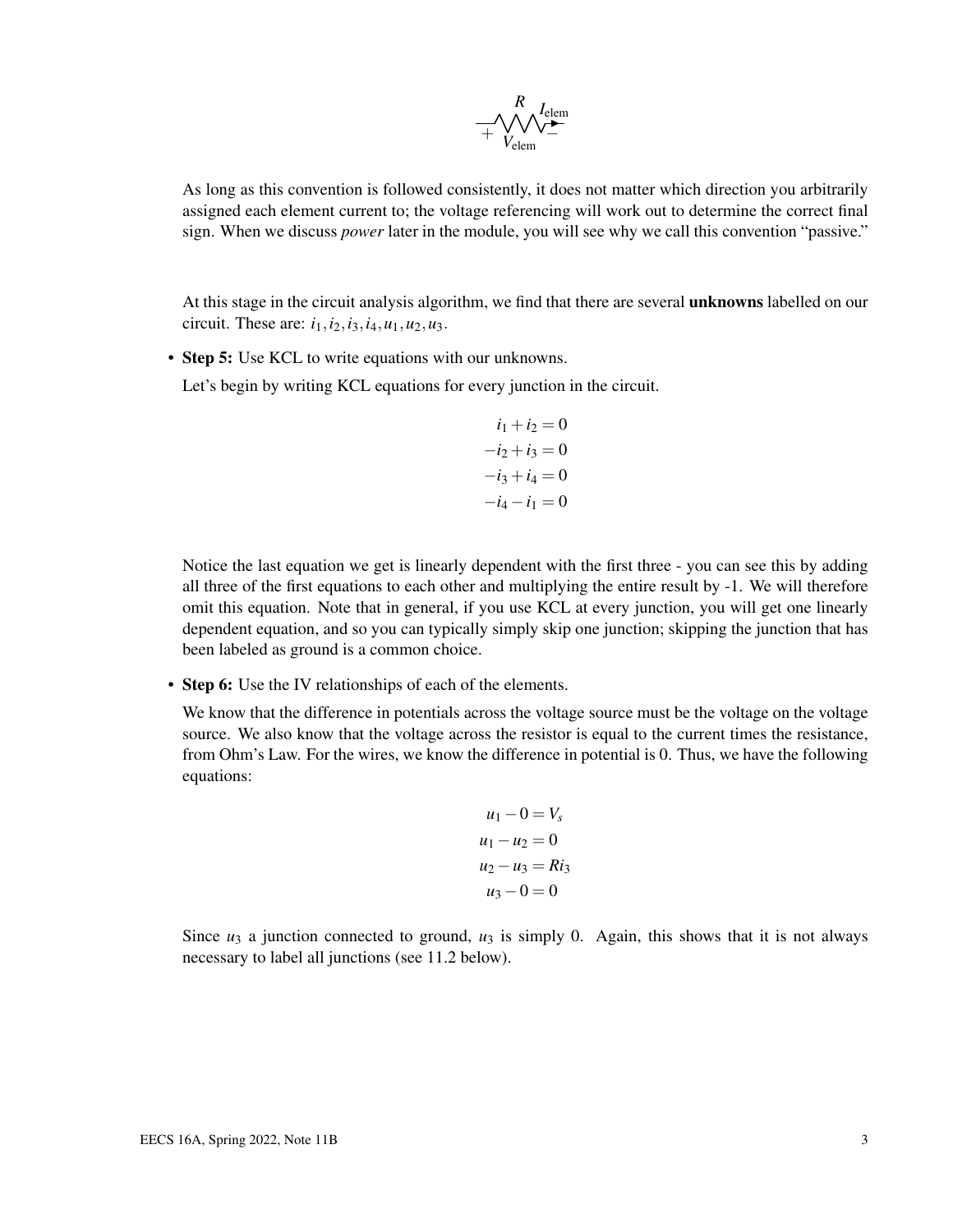

As long as this convention is followed consistently, it does not matter which direction you arbitrarily assigned each element current to; the voltage referencing will work out to determine the correct final sign. When we discuss *power* later in the module, you will see why we call this convention "passive."

At this stage in the circuit analysis algorithm, we find that there are several unknowns labelled on our circuit. These are:  $i_1$ ,  $i_2$ ,  $i_3$ ,  $i_4$ ,  $u_1$ ,  $u_2$ ,  $u_3$ .

• Step 5: Use KCL to write equations with our unknowns.

Let's begin by writing KCL equations for every junction in the circuit.

$$
i_1 + i_2 = 0
$$

$$
-i_2 + i_3 = 0
$$

$$
-i_3 + i_4 = 0
$$

$$
-i_4 - i_1 = 0
$$

Notice the last equation we get is linearly dependent with the first three - you can see this by adding all three of the first equations to each other and multiplying the entire result by -1. We will therefore omit this equation. Note that in general, if you use KCL at every junction, you will get one linearly dependent equation, and so you can typically simply skip one junction; skipping the junction that has been labeled as ground is a common choice.

• Step 6: Use the IV relationships of each of the elements.

We know that the difference in potentials across the voltage source must be the voltage on the voltage source. We also know that the voltage across the resistor is equal to the current times the resistance, from Ohm's Law. For the wires, we know the difference in potential is 0. Thus, we have the following equations:

$$
u_1 - 0 = V_s
$$
  
\n
$$
u_1 - u_2 = 0
$$
  
\n
$$
u_2 - u_3 = Ri_3
$$
  
\n
$$
u_3 - 0 = 0
$$

Since  $u_3$  a junction connected to ground,  $u_3$  is simply 0. Again, this shows that it is not always necessary to label all junctions (see 11.2 below).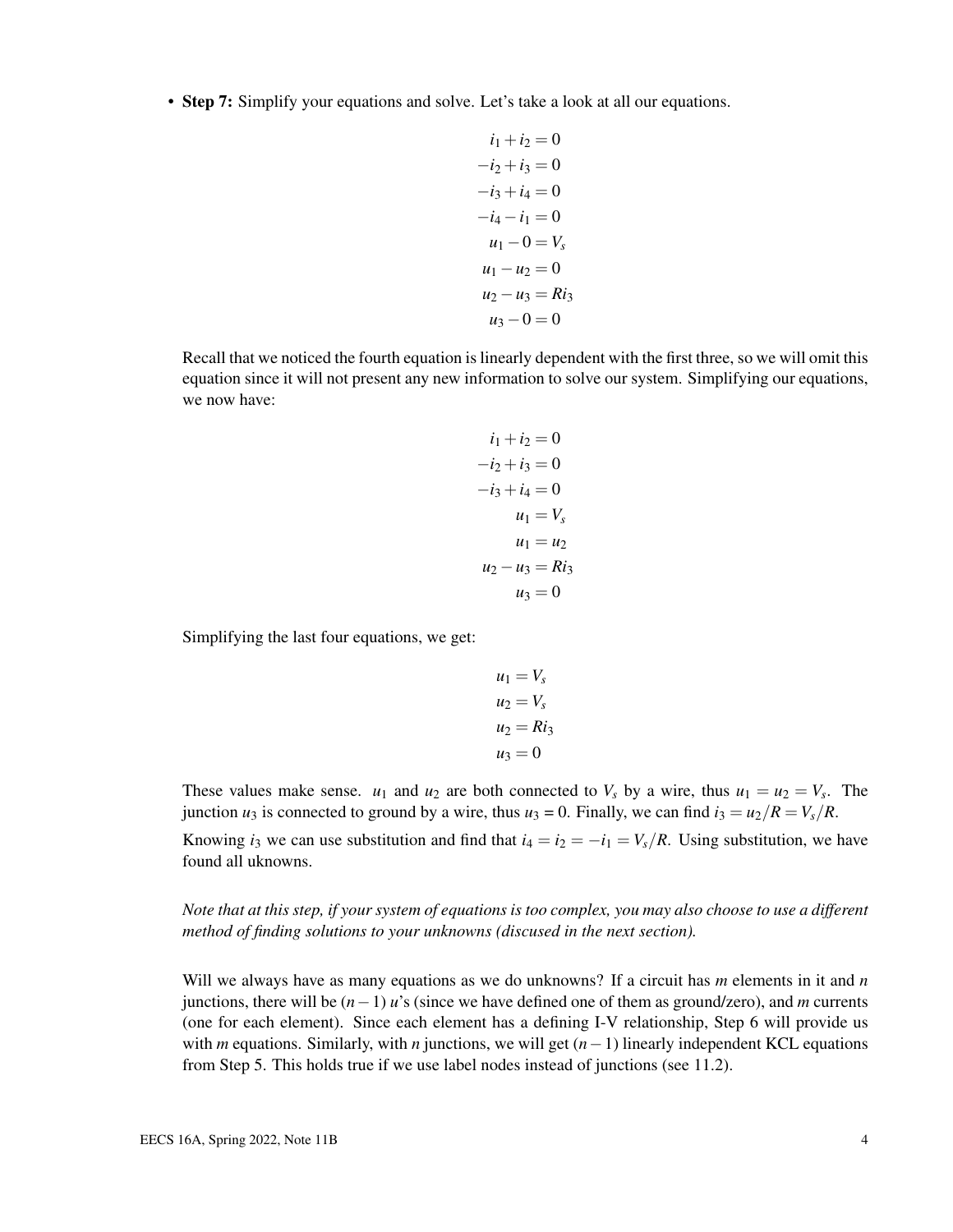• Step 7: Simplify your equations and solve. Let's take a look at all our equations.

$$
i_1 + i_2 = 0
$$
  
\n
$$
-i_2 + i_3 = 0
$$
  
\n
$$
-i_3 + i_4 = 0
$$
  
\n
$$
-i_4 - i_1 = 0
$$
  
\n
$$
u_1 - 0 = V_s
$$
  
\n
$$
u_1 - u_2 = 0
$$
  
\n
$$
u_2 - u_3 = Ri_3
$$
  
\n
$$
u_3 - 0 = 0
$$

Recall that we noticed the fourth equation is linearly dependent with the first three, so we will omit this equation since it will not present any new information to solve our system. Simplifying our equations, we now have:

$$
i_1 + i_2 = 0
$$
  
\n
$$
-i_2 + i_3 = 0
$$
  
\n
$$
-i_3 + i_4 = 0
$$
  
\n
$$
u_1 = V_s
$$
  
\n
$$
u_1 = u_2
$$
  
\n
$$
u_2 - u_3 = Ri_3
$$
  
\n
$$
u_3 = 0
$$

Simplifying the last four equations, we get:

$$
u_1 = V_s
$$
  
\n
$$
u_2 = V_s
$$
  
\n
$$
u_2 = Ri_3
$$
  
\n
$$
u_3 = 0
$$

These values make sense.  $u_1$  and  $u_2$  are both connected to  $V_s$  by a wire, thus  $u_1 = u_2 = V_s$ . The junction  $u_3$  is connected to ground by a wire, thus  $u_3 = 0$ . Finally, we can find  $i_3 = u_2/R = V_s/R$ .

Knowing *i*<sub>3</sub> we can use substitution and find that  $i_4 = i_2 = -i_1 = V_s/R$ . Using substitution, we have found all uknowns.

*Note that at this step, if your system of equations is too complex, you may also choose to use a different method of finding solutions to your unknowns (discused in the next section).*

Will we always have as many equations as we do unknowns? If a circuit has *m* elements in it and *n* junctions, there will be (*n*−1) *u*'s (since we have defined one of them as ground/zero), and *m* currents (one for each element). Since each element has a defining I-V relationship, Step 6 will provide us with *m* equations. Similarly, with *n* junctions, we will get (*n*−1) linearly independent KCL equations from Step 5. This holds true if we use label nodes instead of junctions (see 11.2).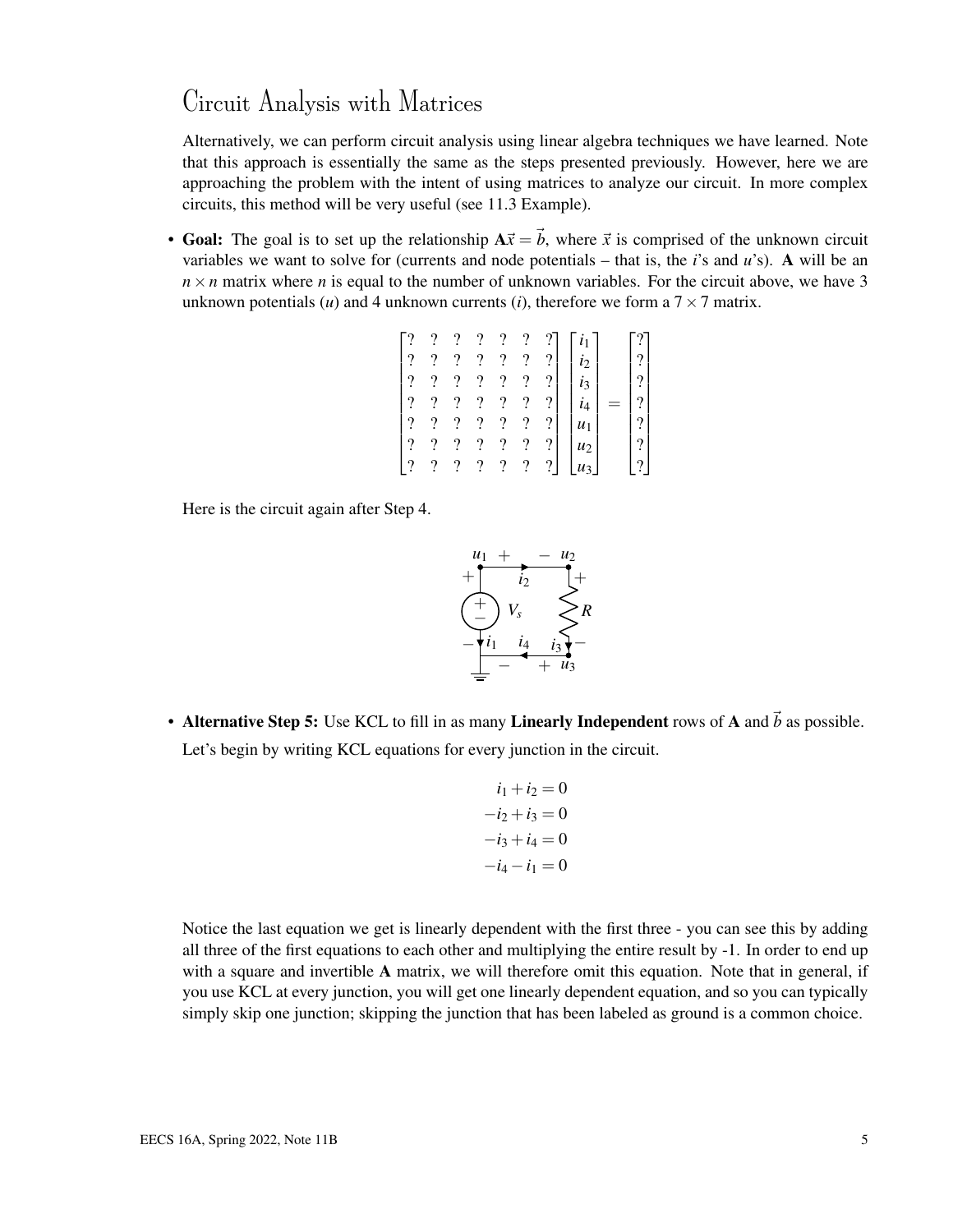#### Circuit Analysis with Matrices

Alternatively, we can perform circuit analysis using linear algebra techniques we have learned. Note that this approach is essentially the same as the steps presented previously. However, here we are approaching the problem with the intent of using matrices to analyze our circuit. In more complex circuits, this method will be very useful (see 11.3 Example).

• Goal: The goal is to set up the relationship  $A\vec{x} = \vec{b}$ , where  $\vec{x}$  is comprised of the unknown circuit variables we want to solve for (currents and node potentials – that is, the *i*'s and *u*'s). A will be an  $n \times n$  matrix where *n* is equal to the number of unknown variables. For the circuit above, we have 3 unknown potentials (*u*) and 4 unknown currents (*i*), therefore we form a  $7 \times 7$  matrix.

$$
\begin{bmatrix} ? & ? & ? & ? & ? & ? \\ ? & ? & ? & ? & ? & ? \\ ? & ? & ? & ? & ? & ? \\ ? & ? & ? & ? & ? & ? \\ ? & ? & ? & ? & ? & ? \\ ? & ? & ? & ? & ? & ? \\ ? & ? & ? & ? & ? & ? \\ ? & ? & ? & ? & ? & ? \\ ? & ? & ? & ? & ? & ? \end{bmatrix} \begin{bmatrix} i_1 \\ i_2 \\ i_3 \\ i_4 \\ u_1 \\ u_2 \\ u_3 \end{bmatrix} = \begin{bmatrix} ? \\ ? \\ ? \\ ? \\ ? \\ ? \\ ? \end{bmatrix}
$$

Here is the circuit again after Step 4.



• Alternative Step 5: Use KCL to fill in as many Linearly Independent rows of A and  $\vec{b}$  as possible. Let's begin by writing KCL equations for every junction in the circuit.

$$
i_1 + i_2 = 0
$$
  

$$
-i_2 + i_3 = 0
$$
  

$$
-i_3 + i_4 = 0
$$
  

$$
-i_4 - i_1 = 0
$$

Notice the last equation we get is linearly dependent with the first three - you can see this by adding all three of the first equations to each other and multiplying the entire result by -1. In order to end up with a square and invertible A matrix, we will therefore omit this equation. Note that in general, if you use KCL at every junction, you will get one linearly dependent equation, and so you can typically simply skip one junction; skipping the junction that has been labeled as ground is a common choice.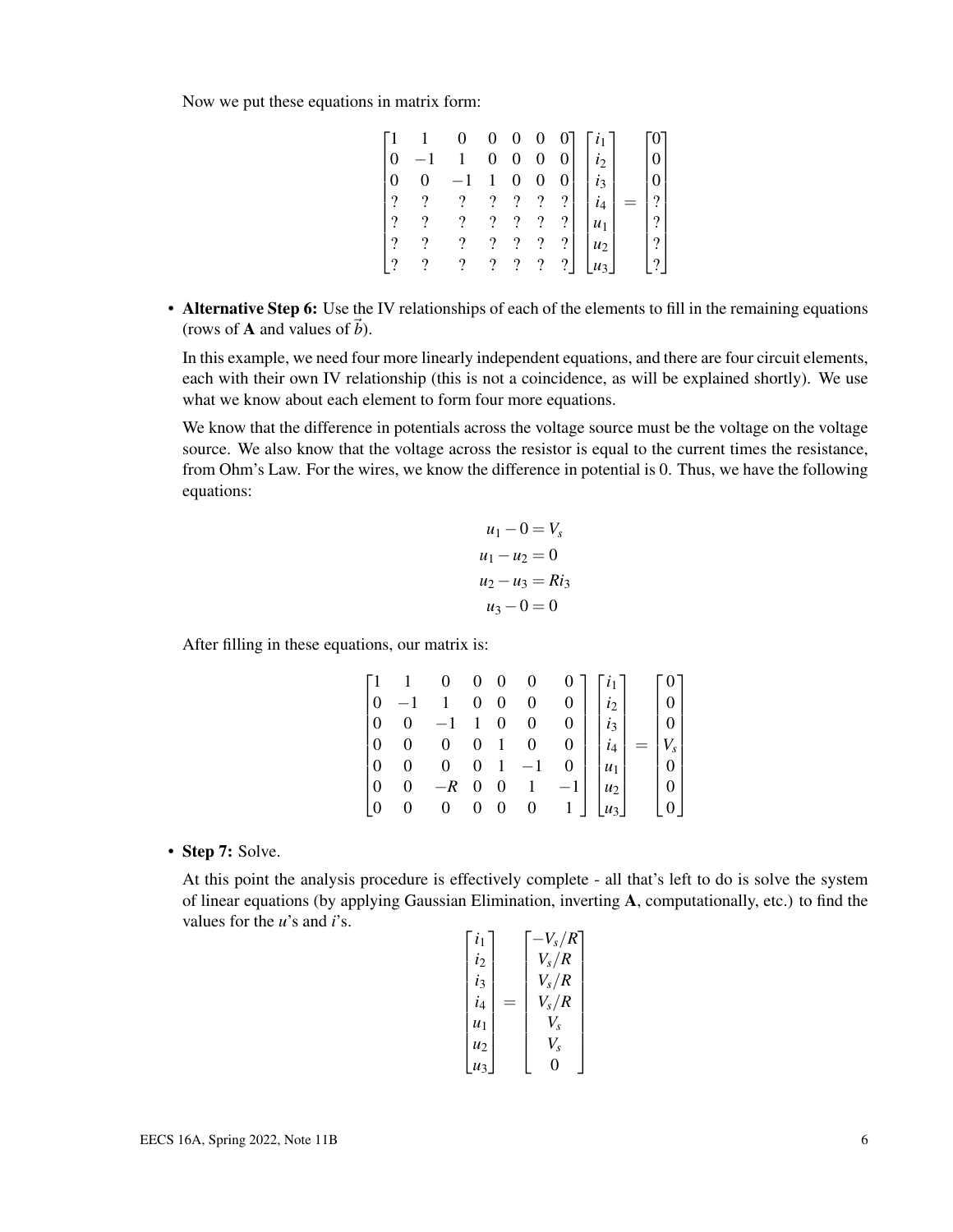Now we put these equations in matrix form:

|          | 0                        | $\boldsymbol{0}$         |                          |                          |               |                                    |     |                        |
|----------|--------------------------|--------------------------|--------------------------|--------------------------|---------------|------------------------------------|-----|------------------------|
|          |                          | $\boldsymbol{0}$         | $\boldsymbol{0}$         | $\boldsymbol{0}$         |               | $\begin{array}{c} i_2 \end{array}$ |     |                        |
|          |                          |                          | $\boldsymbol{0}$         | $\boldsymbol{0}$         |               | $i_3$                              |     |                        |
| 7        | $\overline{\mathcal{L}}$ | $\overline{?}$           | $\overline{\mathcal{L}}$ | $\overline{\mathcal{L}}$ | ?             |                                    | $=$ | $\overline{?}$         |
| $\gamma$ | $\overline{\mathcal{L}}$ | $\cdot$                  | $\overline{\mathcal{L}}$ | $\overline{\mathcal{L}}$ | ?             | $u_1$                              |     | $\left  \cdot \right $ |
| ິດ       | $\overline{\mathcal{L}}$ | $\overline{\mathcal{L}}$ | $\overline{\mathcal{L}}$ | $\overline{\mathcal{L}}$ | ?             | $u_2$                              |     | $\mathcal{P}$          |
| ?        | $\overline{\mathcal{L}}$ | $\overline{\mathcal{L}}$ | $\overline{\mathcal{C}}$ | $\overline{\mathcal{L}}$ | $\frac{1}{2}$ | $1u_3$ <sup>1</sup>                |     | $\left  \cdot \right $ |

• Alternative Step 6: Use the IV relationships of each of the elements to fill in the remaining equations (rows of **A** and values of  $\vec{b}$ ).

In this example, we need four more linearly independent equations, and there are four circuit elements, each with their own IV relationship (this is not a coincidence, as will be explained shortly). We use what we know about each element to form four more equations.

We know that the difference in potentials across the voltage source must be the voltage on the voltage source. We also know that the voltage across the resistor is equal to the current times the resistance, from Ohm's Law. For the wires, we know the difference in potential is 0. Thus, we have the following equations:

$$
u_1 - 0 = V_s
$$
  
\n
$$
u_1 - u_2 = 0
$$
  
\n
$$
u_2 - u_3 = Ri_3
$$
  
\n
$$
u_3 - 0 = 0
$$

After filling in these equations, our matrix is:

|          |          |                                     | $\mathbf{0}$ |                |                |                       |                |
|----------|----------|-------------------------------------|--------------|----------------|----------------|-----------------------|----------------|
|          |          |                                     | $0 \quad 0$  | $\overline{0}$ | 0              | $i_2$                 |                |
|          |          |                                     | $1\quad 0$   | $\overline{0}$ | 0 <sup>1</sup> | $i_3$                 |                |
|          |          |                                     | $0\quad1$    | $\overline{0}$ | 0 <sup>1</sup> | $i_4$                 | $V_s$          |
|          | 0        | $\begin{matrix} 0 & 1 \end{matrix}$ |              | $-1$           | 0 <sup>1</sup> | $u_1$                 | $\overline{0}$ |
|          | $-R$ 0 0 |                                     |              |                |                | $ u_2 $               | $\overline{0}$ |
| $\Omega$ | 0        |                                     | $0 \quad 0$  | $\overline{0}$ | $\mathbf{1}$   | $\lfloor u_3 \rfloor$ | $+0+$          |

• Step 7: Solve.

At this point the analysis procedure is effectively complete - all that's left to do is solve the system of linear equations (by applying Gaussian Elimination, inverting A, computationally, etc.) to find the values for the *u*'s and *i*'s.

$$
\begin{bmatrix} i_1 \\ i_2 \\ i_3 \\ i_4 \\ u_1 \\ u_2 \\ u_3 \end{bmatrix} = \begin{bmatrix} -V_s/R \\ V_s/R \\ V_s/R \\ V_s/R \\ V_s \\ V_s \\ V_s \\ 0 \end{bmatrix}
$$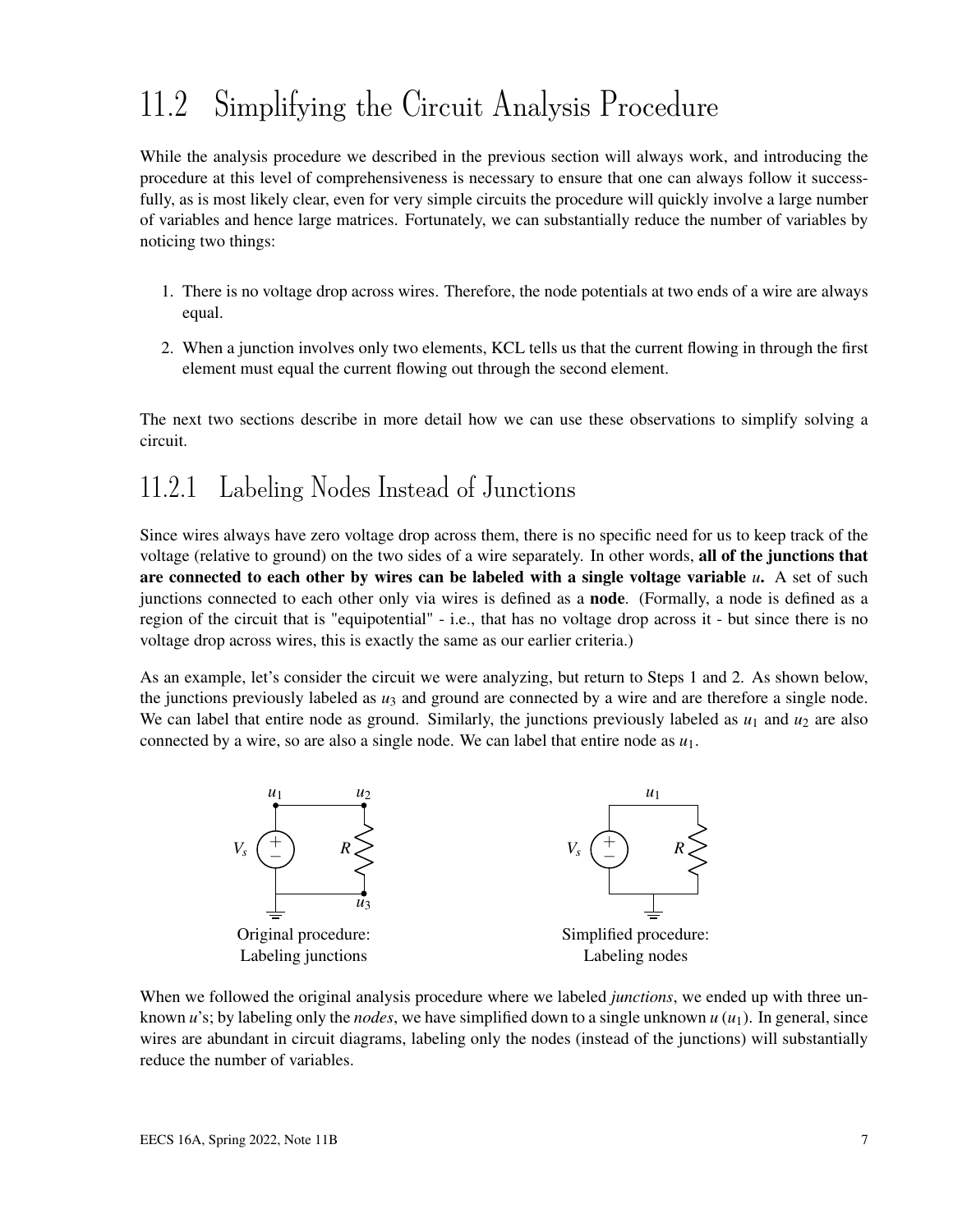# 11.2 Simplifying the Circuit Analysis Procedure

While the analysis procedure we described in the previous section will always work, and introducing the procedure at this level of comprehensiveness is necessary to ensure that one can always follow it successfully, as is most likely clear, even for very simple circuits the procedure will quickly involve a large number of variables and hence large matrices. Fortunately, we can substantially reduce the number of variables by noticing two things:

- 1. There is no voltage drop across wires. Therefore, the node potentials at two ends of a wire are always equal.
- 2. When a junction involves only two elements, KCL tells us that the current flowing in through the first element must equal the current flowing out through the second element.

The next two sections describe in more detail how we can use these observations to simplify solving a circuit.

### 11.2.1 Labeling Nodes Instead of Junctions

Since wires always have zero voltage drop across them, there is no specific need for us to keep track of the voltage (relative to ground) on the two sides of a wire separately. In other words, all of the junctions that are connected to each other by wires can be labeled with a single voltage variable *u*. A set of such junctions connected to each other only via wires is defined as a node. (Formally, a node is defined as a region of the circuit that is "equipotential" - i.e., that has no voltage drop across it - but since there is no voltage drop across wires, this is exactly the same as our earlier criteria.)

As an example, let's consider the circuit we were analyzing, but return to Steps 1 and 2. As shown below, the junctions previously labeled as  $u_3$  and ground are connected by a wire and are therefore a single node. We can label that entire node as ground. Similarly, the junctions previously labeled as  $u_1$  and  $u_2$  are also connected by a wire, so are also a single node. We can label that entire node as *u*1.



When we followed the original analysis procedure where we labeled *junctions*, we ended up with three unknown  $u$ 's; by labeling only the *nodes*, we have simplified down to a single unknown  $u(u_1)$ . In general, since wires are abundant in circuit diagrams, labeling only the nodes (instead of the junctions) will substantially reduce the number of variables.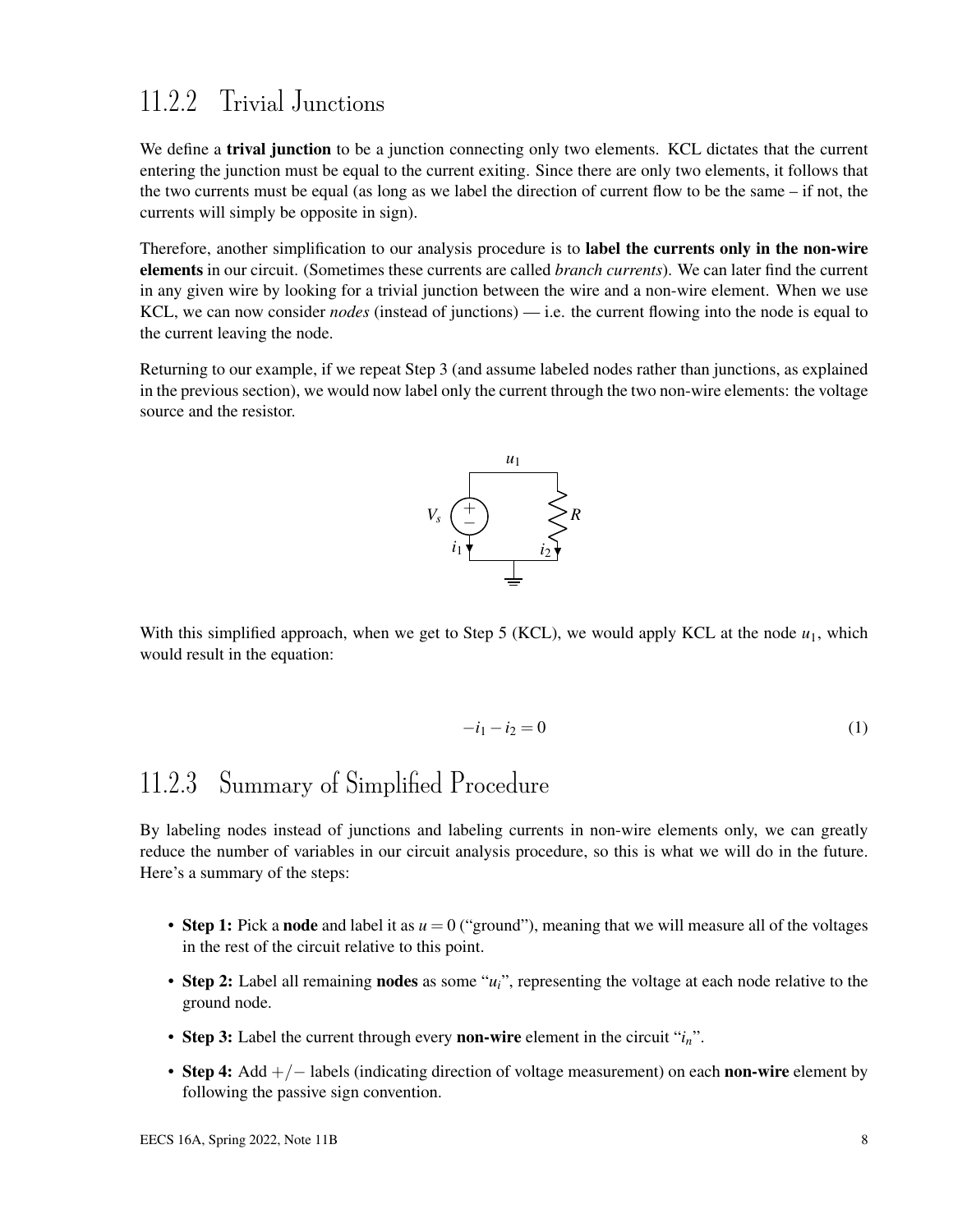### 11.2.2 Trivial Junctions

We define a **trival junction** to be a junction connecting only two elements. KCL dictates that the current entering the junction must be equal to the current exiting. Since there are only two elements, it follows that the two currents must be equal (as long as we label the direction of current flow to be the same – if not, the currents will simply be opposite in sign).

Therefore, another simplification to our analysis procedure is to label the currents only in the non-wire elements in our circuit. (Sometimes these currents are called *branch currents*). We can later find the current in any given wire by looking for a trivial junction between the wire and a non-wire element. When we use KCL, we can now consider *nodes* (instead of junctions) — i.e. the current flowing into the node is equal to the current leaving the node.

Returning to our example, if we repeat Step 3 (and assume labeled nodes rather than junctions, as explained in the previous section), we would now label only the current through the two non-wire elements: the voltage source and the resistor.



With this simplified approach, when we get to Step 5 (KCL), we would apply KCL at the node  $u_1$ , which would result in the equation:

$$
-i_1 - i_2 = 0 \tag{1}
$$

## 11.2.3 Summary of Simplified Procedure

By labeling nodes instead of junctions and labeling currents in non-wire elements only, we can greatly reduce the number of variables in our circuit analysis procedure, so this is what we will do in the future. Here's a summary of the steps:

- **Step 1:** Pick a **node** and label it as  $u = 0$  ("ground"), meaning that we will measure all of the voltages in the rest of the circuit relative to this point.
- Step 2: Label all remaining nodes as some "*ui*", representing the voltage at each node relative to the ground node.
- Step 3: Label the current through every non-wire element in the circuit "*in*".
- Step 4: Add  $+/-$  labels (indicating direction of voltage measurement) on each non-wire element by following the passive sign convention.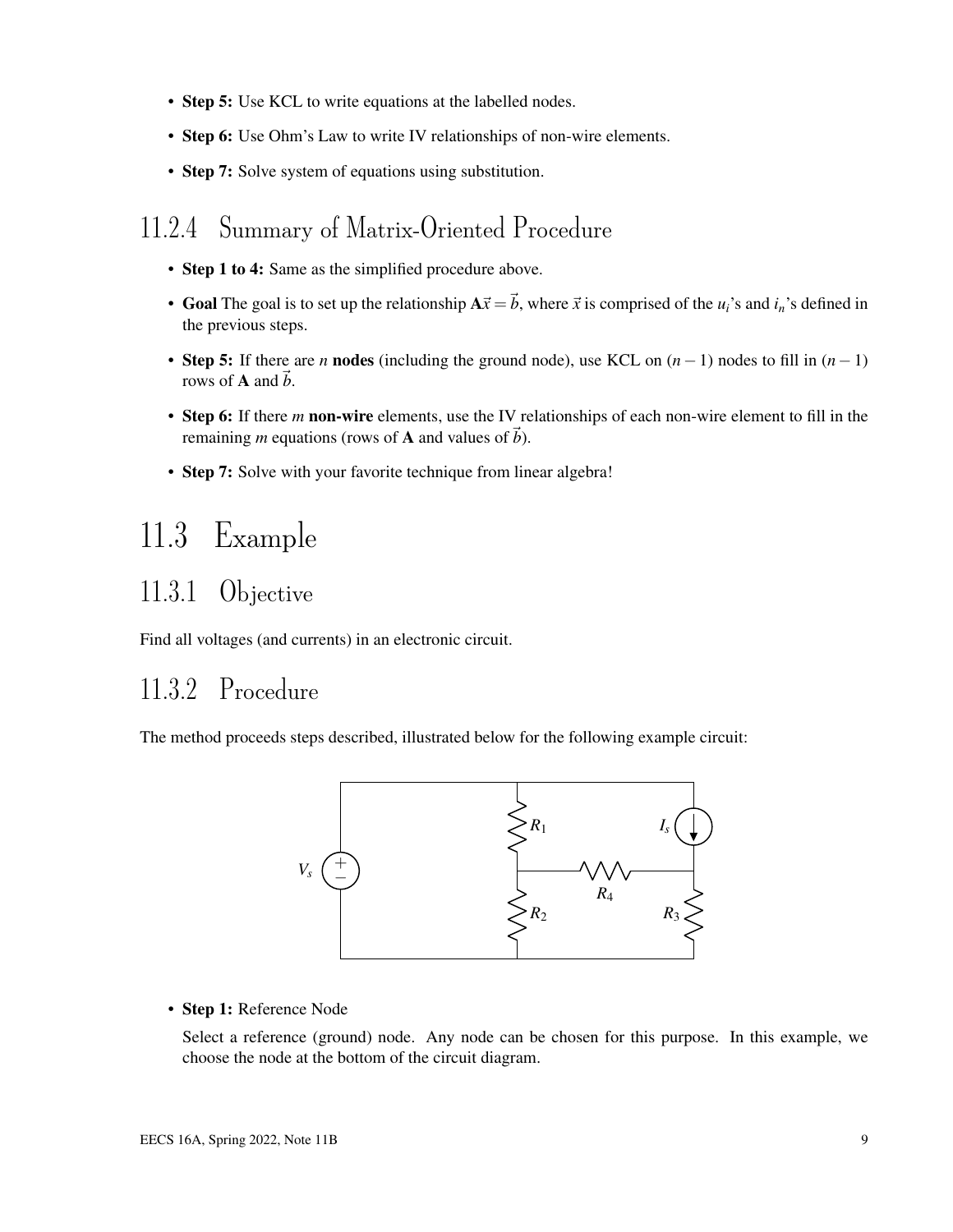- Step 5: Use KCL to write equations at the labelled nodes.
- Step 6: Use Ohm's Law to write IV relationships of non-wire elements.
- Step 7: Solve system of equations using substitution.

#### 11.2.4 Summary of Matrix-Oriented Procedure

- Step 1 to 4: Same as the simplified procedure above.
- Goal The goal is to set up the relationship  $A\vec{x} = \vec{b}$ , where  $\vec{x}$  is comprised of the  $u_i$ 's and  $i_n$ 's defined in the previous steps.
- Step 5: If there are *n* nodes (including the ground node), use KCL on (*n*−1) nodes to fill in (*n*−1) rows of **A** and  $\vec{b}$ .
- Step 6: If there *m* non-wire elements, use the IV relationships of each non-wire element to fill in the remaining *m* equations (rows of **A** and values of  $\vec{b}$ ).
- Step 7: Solve with your favorite technique from linear algebra!

## 11.3 Example

### 11.3.1 Objective

Find all voltages (and currents) in an electronic circuit.

### 11.3.2 Procedure

The method proceeds steps described, illustrated below for the following example circuit:



#### • Step 1: Reference Node

Select a reference (ground) node. Any node can be chosen for this purpose. In this example, we choose the node at the bottom of the circuit diagram.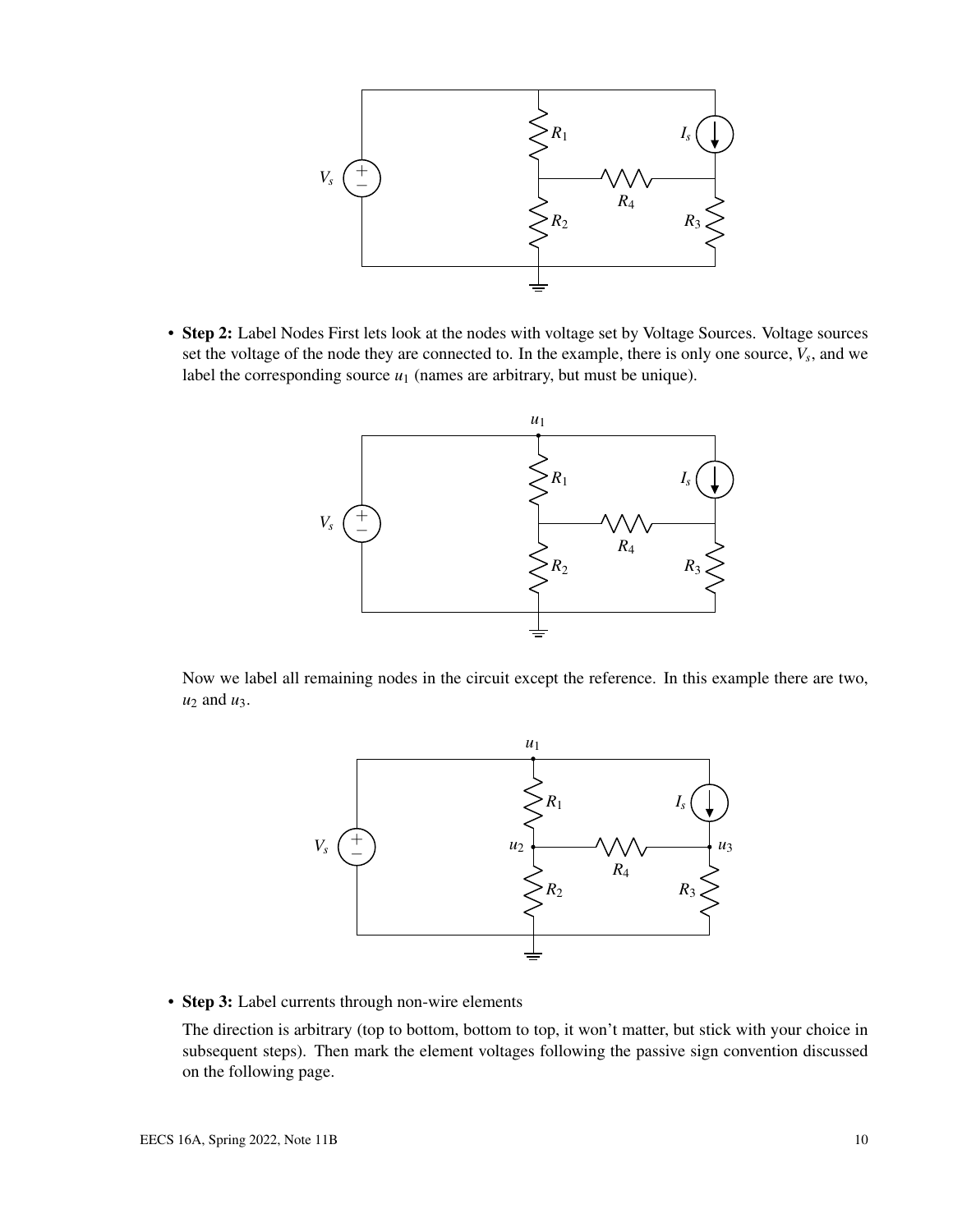

• Step 2: Label Nodes First lets look at the nodes with voltage set by Voltage Sources. Voltage sources set the voltage of the node they are connected to. In the example, there is only one source,  $V_s$ , and we label the corresponding source  $u_1$  (names are arbitrary, but must be unique).



Now we label all remaining nodes in the circuit except the reference. In this example there are two,  $u_2$  and  $u_3$ .



• Step 3: Label currents through non-wire elements

The direction is arbitrary (top to bottom, bottom to top, it won't matter, but stick with your choice in subsequent steps). Then mark the element voltages following the passive sign convention discussed on the following page.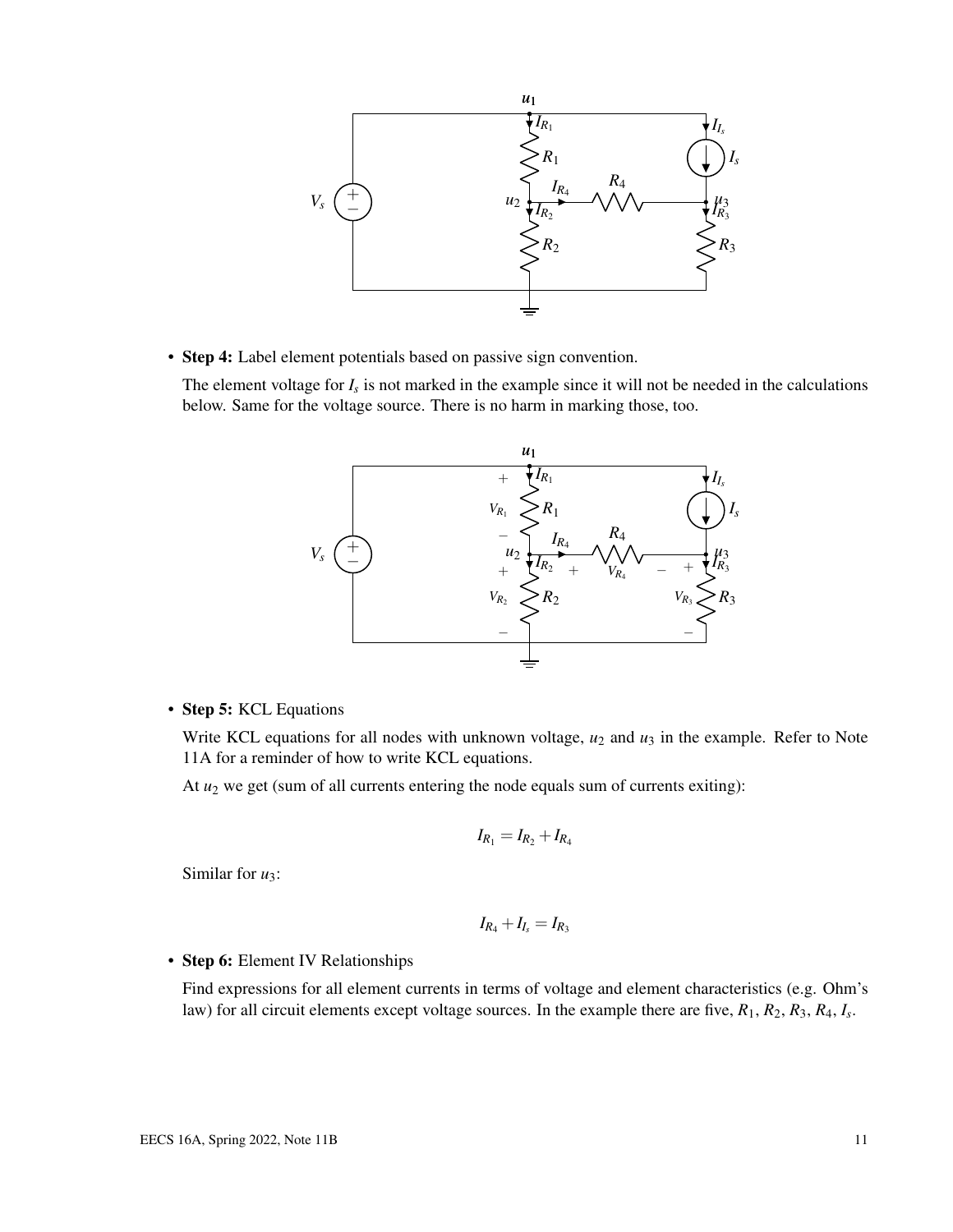

• Step 4: Label element potentials based on passive sign convention.

The element voltage for  $I_s$  is not marked in the example since it will not be needed in the calculations below. Same for the voltage source. There is no harm in marking those, too.



#### • Step 5: KCL Equations

Write KCL equations for all nodes with unknown voltage,  $u_2$  and  $u_3$  in the example. Refer to Note 11A for a reminder of how to write KCL equations.

At  $u_2$  we get (sum of all currents entering the node equals sum of currents exiting):

$$
I_{R_1} = I_{R_2} + I_{R_4}
$$

Similar for  $u_3$ :

$$
I_{R_4}+I_{I_s}=I_{R_3}
$$

#### • Step 6: Element IV Relationships

Find expressions for all element currents in terms of voltage and element characteristics (e.g. Ohm's law) for all circuit elements except voltage sources. In the example there are five, *R*1, *R*2, *R*3, *R*4, *I<sup>s</sup>* .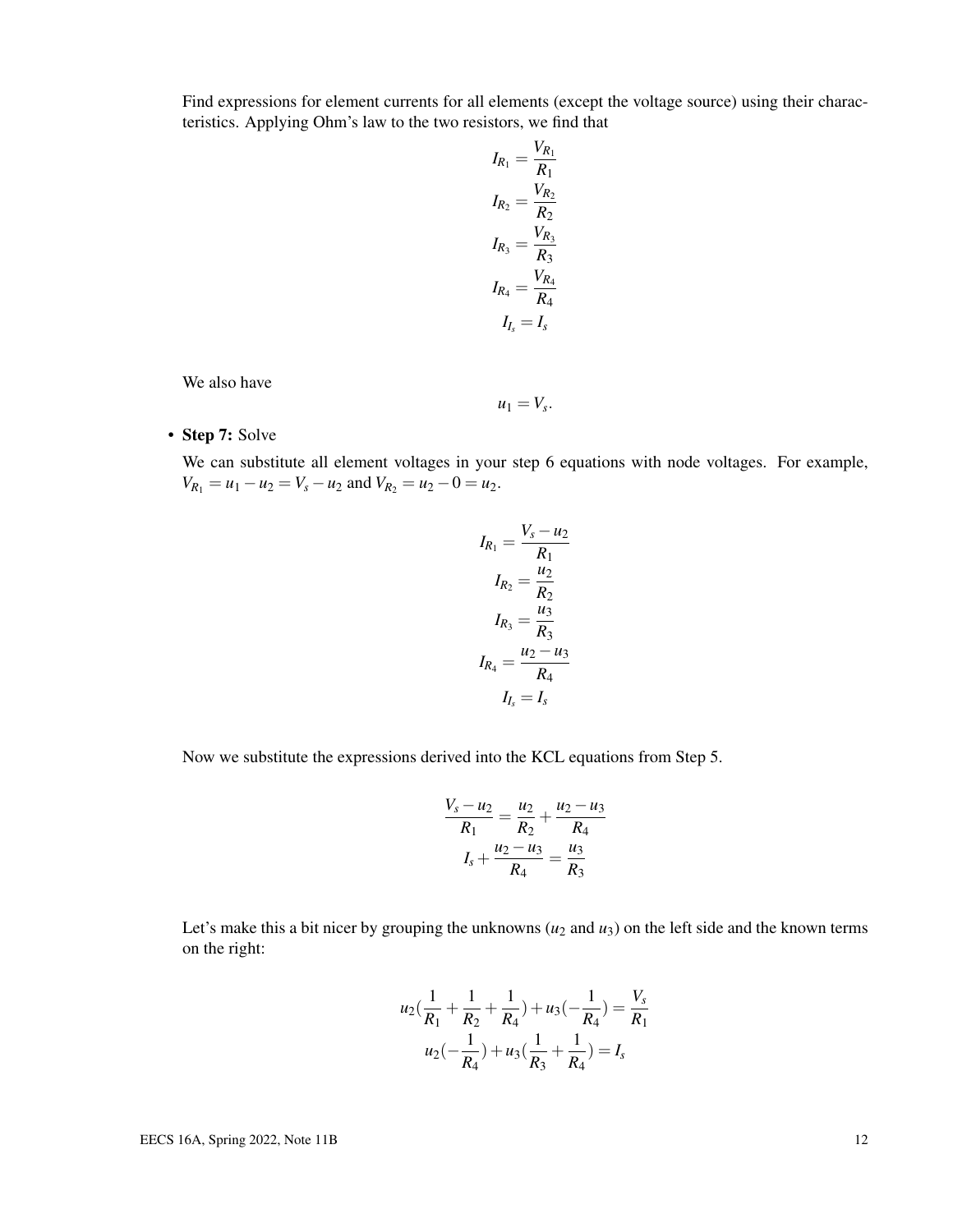Find expressions for element currents for all elements (except the voltage source) using their characteristics. Applying Ohm's law to the two resistors, we find that

$$
I_{R_1} = \frac{V_{R_1}}{R_1}
$$
  
\n
$$
I_{R_2} = \frac{V_{R_2}}{R_2}
$$
  
\n
$$
I_{R_3} = \frac{V_{R_3}}{R_3}
$$
  
\n
$$
I_{R_4} = \frac{V_{R_4}}{R_4}
$$
  
\n
$$
I_{I_s} = I_s
$$

We also have

$$
u_1=V_s.
$$

• Step 7: Solve

We can substitute all element voltages in your step 6 equations with node voltages. For example,  $V_{R_1} = u_1 - u_2 = V_s - u_2$  and  $V_{R_2} = u_2 - 0 = u_2$ .

$$
I_{R_1} = \frac{V_s - u_2}{R_1}
$$

$$
I_{R_2} = \frac{u_2}{R_2}
$$

$$
I_{R_3} = \frac{u_3}{R_3}
$$

$$
I_{R_4} = \frac{u_2 - u_3}{R_4}
$$

$$
I_{I_s} = I_s
$$

Now we substitute the expressions derived into the KCL equations from Step 5.

$$
\frac{V_s - u_2}{R_1} = \frac{u_2}{R_2} + \frac{u_2 - u_3}{R_4}
$$

$$
I_s + \frac{u_2 - u_3}{R_4} = \frac{u_3}{R_3}
$$

Let's make this a bit nicer by grouping the unknowns  $(u_2 \text{ and } u_3)$  on the left side and the known terms on the right:

$$
u_2\left(\frac{1}{R_1} + \frac{1}{R_2} + \frac{1}{R_4}\right) + u_3\left(-\frac{1}{R_4}\right) = \frac{V_s}{R_1}
$$

$$
u_2\left(-\frac{1}{R_4}\right) + u_3\left(\frac{1}{R_3} + \frac{1}{R_4}\right) = I_s
$$